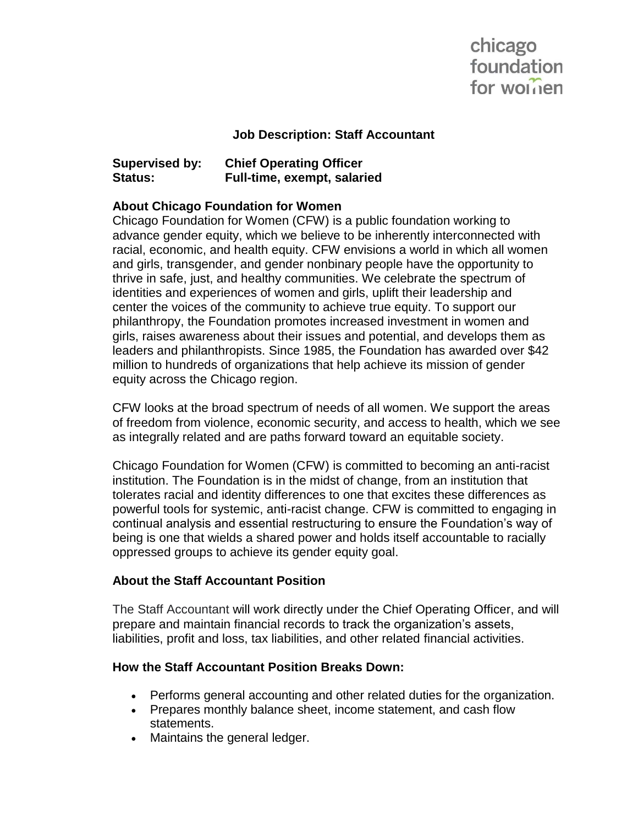# chicago foundation for worrien

#### **Job Description: Staff Accountant**

# **Supervised by: Chief Operating Officer Status: Full-time, exempt, salaried**

### **About Chicago Foundation for Women**

Chicago Foundation for Women (CFW) is a public foundation working to advance gender equity, which we believe to be inherently interconnected with racial, economic, and health equity. CFW envisions a world in which all women and girls, transgender, and gender nonbinary people have the opportunity to thrive in safe, just, and healthy communities. We celebrate the spectrum of identities and experiences of women and girls, uplift their leadership and center the voices of the community to achieve true equity. To support our philanthropy, the Foundation promotes increased investment in women and girls, raises awareness about their issues and potential, and develops them as leaders and philanthropists. Since 1985, the Foundation has awarded over \$42 million to hundreds of organizations that help achieve its mission of gender equity across the Chicago region.

CFW looks at the broad spectrum of needs of all women. We support the areas of freedom from violence, economic security, and access to health, which we see as integrally related and are paths forward toward an equitable society.

Chicago Foundation for Women (CFW) is committed to becoming an anti-racist institution. The Foundation is in the midst of change, from an institution that tolerates racial and identity differences to one that excites these differences as powerful tools for systemic, anti-racist change. CFW is committed to engaging in continual analysis and essential restructuring to ensure the Foundation's way of being is one that wields a shared power and holds itself accountable to racially oppressed groups to achieve its gender equity goal.

## **About the Staff Accountant Position**

The Staff Accountant will work directly under the Chief Operating Officer, and will prepare and maintain financial records to track the organization's assets, liabilities, profit and loss, tax liabilities, and other related financial activities.

#### **How the Staff Accountant Position Breaks Down:**

- Performs general accounting and other related duties for the organization.
- Prepares monthly balance sheet, income statement, and cash flow statements.
- Maintains the general ledger.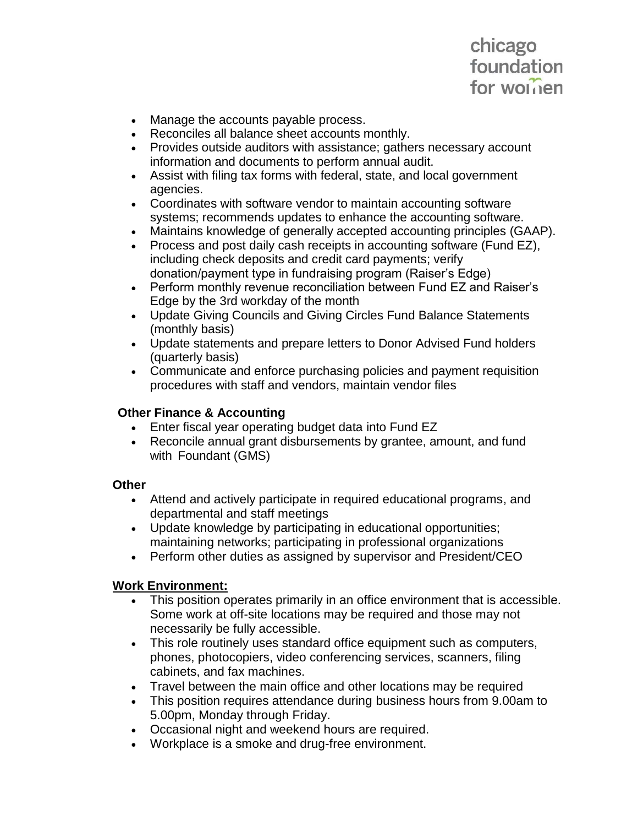# chicago foundation for worrien

- Manage the accounts payable process.
- Reconciles all balance sheet accounts monthly.
- Provides outside auditors with assistance; gathers necessary account information and documents to perform annual audit.
- Assist with filing tax forms with federal, state, and local government agencies.
- Coordinates with software vendor to maintain accounting software systems; recommends updates to enhance the accounting software.
- Maintains knowledge of generally accepted accounting principles (GAAP).
- Process and post daily cash receipts in accounting software (Fund EZ), including check deposits and credit card payments; verify donation/payment type in fundraising program (Raiser's Edge)
- Perform monthly revenue reconciliation between Fund EZ and Raiser's Edge by the 3rd workday of the month
- Update Giving Councils and Giving Circles Fund Balance Statements (monthly basis)
- Update statements and prepare letters to Donor Advised Fund holders (quarterly basis)
- Communicate and enforce purchasing policies and payment requisition procedures with staff and vendors, maintain vendor files

# **Other Finance & Accounting**

- Enter fiscal year operating budget data into Fund EZ
- Reconcile annual grant disbursements by grantee, amount, and fund with Foundant (GMS)

## **Other**

- Attend and actively participate in required educational programs, and departmental and staff meetings
- Update knowledge by participating in educational opportunities; maintaining networks; participating in professional organizations
- Perform other duties as assigned by supervisor and President/CEO

## **Work Environment:**

- This position operates primarily in an office environment that is accessible. Some work at off-site locations may be required and those may not necessarily be fully accessible.
- This role routinely uses standard office equipment such as computers, phones, photocopiers, video conferencing services, scanners, filing cabinets, and fax machines.
- Travel between the main office and other locations may be required
- This position requires attendance during business hours from 9.00am to 5.00pm, Monday through Friday.
- Occasional night and weekend hours are required.
- Workplace is a smoke and drug-free environment.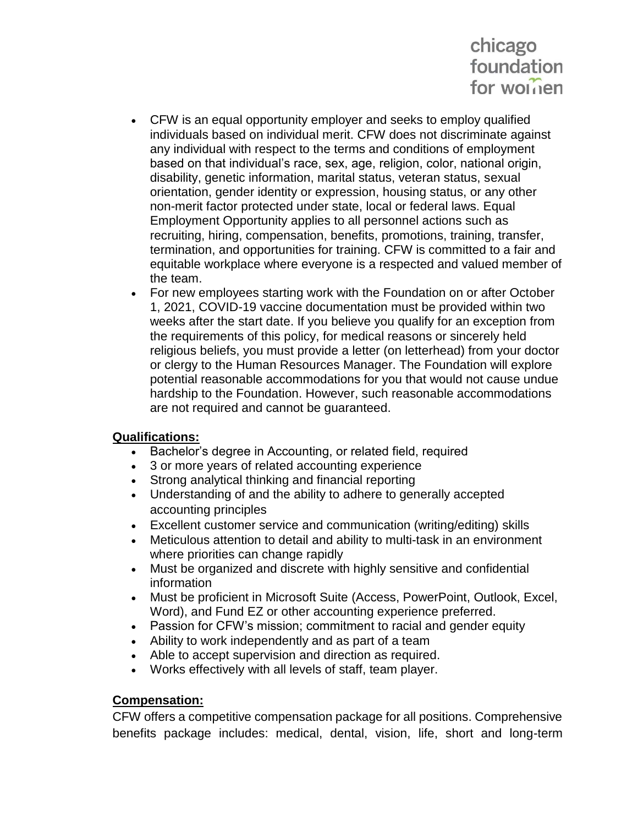# chicago foundation for worrien

- CFW is an equal opportunity employer and seeks to employ qualified individuals based on individual merit. CFW does not discriminate against any individual with respect to the terms and conditions of employment based on that individual's race, sex, age, religion, color, national origin, disability, genetic information, marital status, veteran status, sexual orientation, gender identity or expression, housing status, or any other non-merit factor protected under state, local or federal laws. Equal Employment Opportunity applies to all personnel actions such as recruiting, hiring, compensation, benefits, promotions, training, transfer, termination, and opportunities for training. CFW is committed to a fair and equitable workplace where everyone is a respected and valued member of the team.
- For new employees starting work with the Foundation on or after October 1, 2021, COVID-19 vaccine documentation must be provided within two weeks after the start date. If you believe you qualify for an exception from the requirements of this policy, for medical reasons or sincerely held religious beliefs, you must provide a letter (on letterhead) from your doctor or clergy to the Human Resources Manager. The Foundation will explore potential reasonable accommodations for you that would not cause undue hardship to the Foundation. However, such reasonable accommodations are not required and cannot be guaranteed.

## **Qualifications:**

- Bachelor's degree in Accounting, or related field, required
- 3 or more years of related accounting experience
- Strong analytical thinking and financial reporting
- Understanding of and the ability to adhere to generally accepted accounting principles
- Excellent customer service and communication (writing/editing) skills
- Meticulous attention to detail and ability to multi-task in an environment where priorities can change rapidly
- Must be organized and discrete with highly sensitive and confidential information
- Must be proficient in Microsoft Suite (Access, PowerPoint, Outlook, Excel, Word), and Fund EZ or other accounting experience preferred.
- Passion for CFW's mission; commitment to racial and gender equity
- Ability to work independently and as part of a team
- Able to accept supervision and direction as required.
- Works effectively with all levels of staff, team player.

#### **Compensation:**

CFW offers a competitive compensation package for all positions. Comprehensive benefits package includes: medical, dental, vision, life, short and long-term